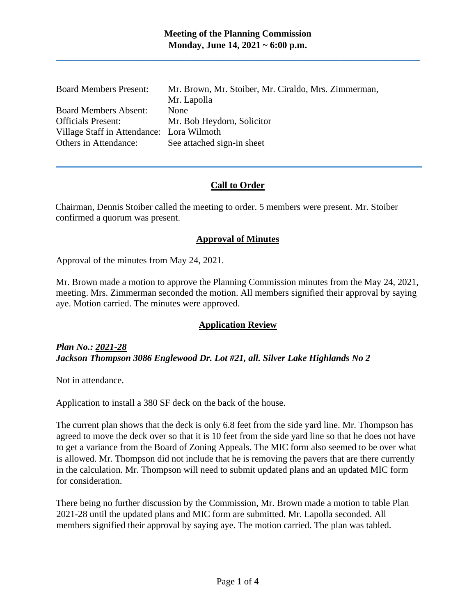| <b>Board Members Present:</b>             | Mr. Brown, Mr. Stoiber, Mr. Ciraldo, Mrs. Zimmerman, |
|-------------------------------------------|------------------------------------------------------|
|                                           | Mr. Lapolla                                          |
| <b>Board Members Absent:</b>              | <b>None</b>                                          |
| <b>Officials Present:</b>                 | Mr. Bob Heydorn, Solicitor                           |
| Village Staff in Attendance: Lora Wilmoth |                                                      |
| Others in Attendance:                     | See attached sign-in sheet                           |

#### **Call to Order**

Chairman, Dennis Stoiber called the meeting to order. 5 members were present. Mr. Stoiber confirmed a quorum was present.

#### **Approval of Minutes**

Approval of the minutes from May 24, 2021.

Mr. Brown made a motion to approve the Planning Commission minutes from the May 24, 2021, meeting. Mrs. Zimmerman seconded the motion. All members signified their approval by saying aye. Motion carried. The minutes were approved.

## **Application Review**

*Plan No.: 2021-28 Jackson Thompson 3086 Englewood Dr. Lot #21, all. Silver Lake Highlands No 2*

Not in attendance.

Application to install a 380 SF deck on the back of the house.

The current plan shows that the deck is only 6.8 feet from the side yard line. Mr. Thompson has agreed to move the deck over so that it is 10 feet from the side yard line so that he does not have to get a variance from the Board of Zoning Appeals. The MIC form also seemed to be over what is allowed. Mr. Thompson did not include that he is removing the pavers that are there currently in the calculation. Mr. Thompson will need to submit updated plans and an updated MIC form for consideration.

There being no further discussion by the Commission, Mr. Brown made a motion to table Plan 2021-28 until the updated plans and MIC form are submitted. Mr. Lapolla seconded. All members signified their approval by saying aye. The motion carried. The plan was tabled.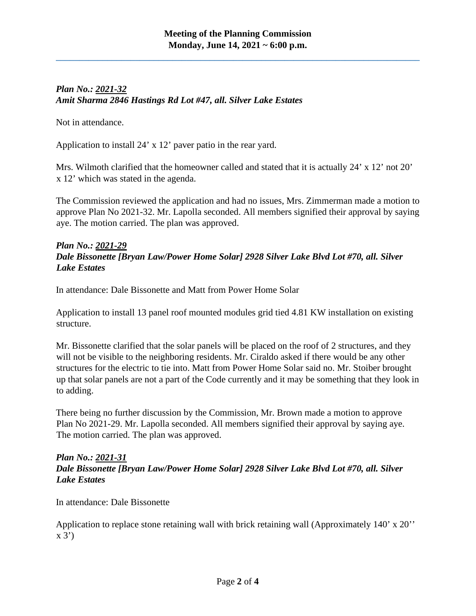# *Plan No.: 2021-32 Amit Sharma 2846 Hastings Rd Lot #47, all. Silver Lake Estates*

Not in attendance.

Application to install 24' x 12' paver patio in the rear yard.

Mrs. Wilmoth clarified that the homeowner called and stated that it is actually 24' x 12' not 20' x 12' which was stated in the agenda.

The Commission reviewed the application and had no issues, Mrs. Zimmerman made a motion to approve Plan No 2021-32. Mr. Lapolla seconded. All members signified their approval by saying aye. The motion carried. The plan was approved.

## *Plan No.: 2021-29 Dale Bissonette [Bryan Law/Power Home Solar] 2928 Silver Lake Blvd Lot #70, all. Silver Lake Estates*

In attendance: Dale Bissonette and Matt from Power Home Solar

Application to install 13 panel roof mounted modules grid tied 4.81 KW installation on existing structure.

Mr. Bissonette clarified that the solar panels will be placed on the roof of 2 structures, and they will not be visible to the neighboring residents. Mr. Ciraldo asked if there would be any other structures for the electric to tie into. Matt from Power Home Solar said no. Mr. Stoiber brought up that solar panels are not a part of the Code currently and it may be something that they look in to adding.

There being no further discussion by the Commission, Mr. Brown made a motion to approve Plan No 2021-29. Mr. Lapolla seconded. All members signified their approval by saying aye. The motion carried. The plan was approved.

## *Plan No.: 2021-31 Dale Bissonette [Bryan Law/Power Home Solar] 2928 Silver Lake Blvd Lot #70, all. Silver Lake Estates*

In attendance: Dale Bissonette

Application to replace stone retaining wall with brick retaining wall (Approximately 140' x 20''  $x 3'$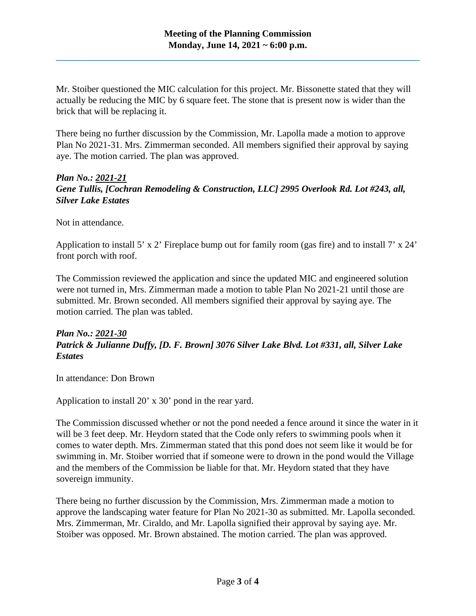Mr. Stoiber questioned the MIC calculation for this project. Mr. Bissonette stated that they will actually be reducing the MIC by 6 square feet. The stone that is present now is wider than the brick that will be replacing it.

There being no further discussion by the Commission, Mr. Lapolla made a motion to approve Plan No 2021-31. Mrs. Zimmerman seconded. All members signified their approval by saying aye. The motion carried. The plan was approved.

## *Plan No.: 2021-21 Gene Tullis, [Cochran Remodeling & Construction, LLC] 2995 Overlook Rd. Lot #243, all, Silver Lake Estates*

Not in attendance.

Application to install 5' x 2' Fireplace bump out for family room (gas fire) and to install 7' x 24' front porch with roof.

The Commission reviewed the application and since the updated MIC and engineered solution were not turned in, Mrs. Zimmerman made a motion to table Plan No 2021-21 until those are submitted. Mr. Brown seconded. All members signified their approval by saying aye. The motion carried. The plan was tabled.

## *Plan No.: 2021-30 Patrick & Julianne Duffy, [D. F. Brown] 3076 Silver Lake Blvd. Lot #331, all, Silver Lake Estates*

In attendance: Don Brown

Application to install 20' x 30' pond in the rear yard.

The Commission discussed whether or not the pond needed a fence around it since the water in it will be 3 feet deep. Mr. Heydorn stated that the Code only refers to swimming pools when it comes to water depth. Mrs. Zimmerman stated that this pond does not seem like it would be for swimming in. Mr. Stoiber worried that if someone were to drown in the pond would the Village and the members of the Commission be liable for that. Mr. Heydorn stated that they have sovereign immunity.

There being no further discussion by the Commission, Mrs. Zimmerman made a motion to approve the landscaping water feature for Plan No 2021-30 as submitted. Mr. Lapolla seconded. Mrs. Zimmerman, Mr. Ciraldo, and Mr. Lapolla signified their approval by saying aye. Mr. Stoiber was opposed. Mr. Brown abstained. The motion carried. The plan was approved.